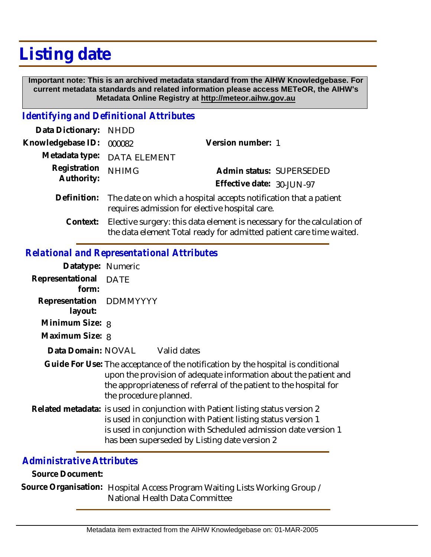# **Listing date**

 **Important note: This is an archived metadata standard from the AIHW Knowledgebase. For current metadata standards and related information please access METeOR, the AIHW's Metadata Online Registry at http://meteor.aihw.gov.au**

#### *Identifying and Definitional Attributes*

| Data Dictionary: NHDD    |                                                                                                                                |                           |                          |
|--------------------------|--------------------------------------------------------------------------------------------------------------------------------|---------------------------|--------------------------|
| Knowledgebase ID: 000082 |                                                                                                                                | Version number: 1         |                          |
|                          | Metadata type: DATA ELEMENT                                                                                                    |                           |                          |
| Registration             | <b>NHIMG</b>                                                                                                                   |                           | Admin status: SUPERSEDED |
| Authority:               |                                                                                                                                | Effective date: 30-JUN-97 |                          |
|                          | Definition: The date on which a hospital accepts notification that a patient<br>requires admission for elective hospital care. |                           |                          |

Elective surgery: this data element is necessary for the calculation of the data element Total ready for admitted patient care time waited. **Context:**

### *Relational and Representational Attributes*

| Datatype: Numeric                  |                                                                                                                                                                                                                                                                   |  |
|------------------------------------|-------------------------------------------------------------------------------------------------------------------------------------------------------------------------------------------------------------------------------------------------------------------|--|
| Representational<br>form:          | <b>DATE</b>                                                                                                                                                                                                                                                       |  |
| Representation DDMMYYYY<br>layout: |                                                                                                                                                                                                                                                                   |  |
| Minimum Size: 8                    |                                                                                                                                                                                                                                                                   |  |
| Maximum Size: 8                    |                                                                                                                                                                                                                                                                   |  |
| Data Domain: NOVAL                 | Valid dates                                                                                                                                                                                                                                                       |  |
|                                    | Guide For Use: The acceptance of the notification by the hospital is conditional<br>upon the provision of adequate information about the patient and<br>the appropriateness of referral of the patient to the hospital for<br>the procedure planned.              |  |
|                                    | Related metadata: is used in conjunction with Patient listing status version 2<br>is used in conjunction with Patient listing status version 1<br>is used in conjunction with Scheduled admission date version 1<br>has been superseded by Listing date version 2 |  |

## *Administrative Attributes*

**Source Document:**

Source Organisation: Hospital Access Program Waiting Lists Working Group / National Health Data Committee